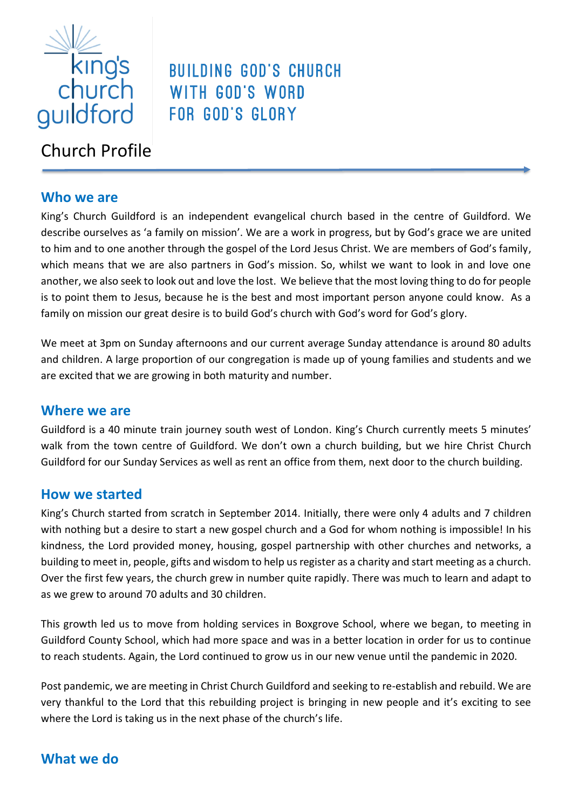

# Church Profile

# **Who we are**

King's Church Guildford is an independent evangelical church based in the centre of Guildford. We describe ourselves as 'a family on mission'. We are a work in progress, but by God's grace we are united to him and to one another through the gospel of the Lord Jesus Christ. We are members of God's family, which means that we are also partners in God's mission. So, whilst we want to look in and love one another, we also seek to look out and love the lost. We believe that the most loving thing to do for people is to point them to Jesus, because he is the best and most important person anyone could know. As a family on mission our great desire is to build God's church with God's word for God's glory.

**BUILDING GOD'S CHURCH** 

WITH GOD'S WORD

FOR GOD'S GLORY

We meet at 3pm on Sunday afternoons and our current average Sunday attendance is around 80 adults and children. A large proportion of our congregation is made up of young families and students and we are excited that we are growing in both maturity and number.

# **Where we are**

Guildford is a 40 minute train journey south west of London. King's Church currently meets 5 minutes' walk from the town centre of Guildford. We don't own a church building, but we hire Christ Church Guildford for our Sunday Services as well as rent an office from them, next door to the church building.

# **How we started**

King's Church started from scratch in September 2014. Initially, there were only 4 adults and 7 children with nothing but a desire to start a new gospel church and a God for whom nothing is impossible! In his kindness, the Lord provided money, housing, gospel partnership with other churches and networks, a building to meet in, people, gifts and wisdom to help us register as a charity and start meeting as a church. Over the first few years, the church grew in number quite rapidly. There was much to learn and adapt to as we grew to around 70 adults and 30 children.

This growth led us to move from holding services in Boxgrove School, where we began, to meeting in Guildford County School, which had more space and was in a better location in order for us to continue to reach students. Again, the Lord continued to grow us in our new venue until the pandemic in 2020.

Post pandemic, we are meeting in Christ Church Guildford and seeking to re-establish and rebuild. We are very thankful to the Lord that this rebuilding project is bringing in new people and it's exciting to see where the Lord is taking us in the next phase of the church's life.

# **What we do**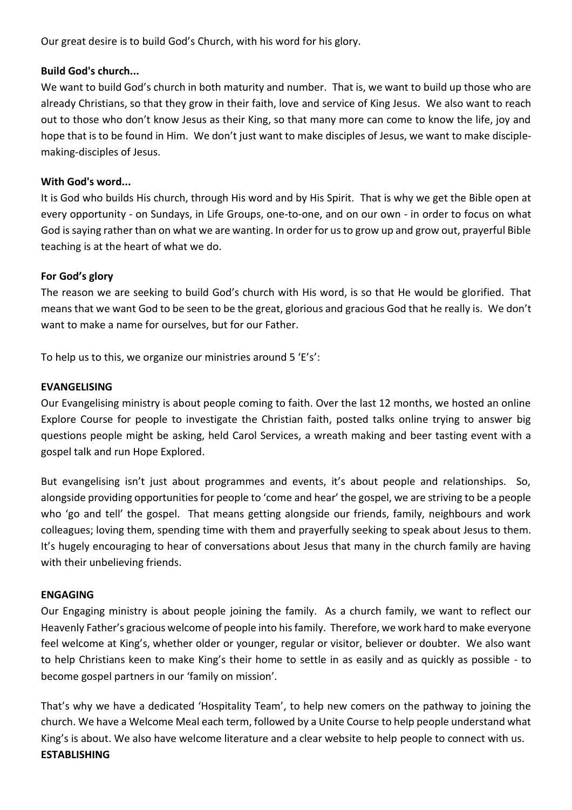Our great desire is to build God's Church, with his word for his glory.

#### **Build God's church...**

We want to build God's church in both maturity and number. That is, we want to build up those who are already Christians, so that they grow in their faith, love and service of King Jesus. We also want to reach out to those who don't know Jesus as their King, so that many more can come to know the life, joy and hope that is to be found in Him. We don't just want to make disciples of Jesus, we want to make disciplemaking-disciples of Jesus.

## **With God's word...**

It is God who builds His church, through His word and by His Spirit. That is why we get the Bible open at every opportunity - on Sundays, in Life Groups, one-to-one, and on our own - in order to focus on what God is saying rather than on what we are wanting. In order for us to grow up and grow out, prayerful Bible teaching is at the heart of what we do.

## **For God's glory**

The reason we are seeking to build God's church with His word, is so that He would be glorified. That means that we want God to be seen to be the great, glorious and gracious God that he really is. We don't want to make a name for ourselves, but for our Father.

To help us to this, we organize our ministries around 5 'E's':

## **EVANGELISING**

Our Evangelising ministry is about people coming to faith. Over the last 12 months, we hosted an online Explore Course for people to investigate the Christian faith, posted talks online trying to answer big questions people might be asking, held Carol Services, a wreath making and beer tasting event with a gospel talk and run Hope Explored.

But evangelising isn't just about programmes and events, it's about people and relationships. So, alongside providing opportunities for people to 'come and hear' the gospel, we are striving to be a people who 'go and tell' the gospel. That means getting alongside our friends, family, neighbours and work colleagues; loving them, spending time with them and prayerfully seeking to speak about Jesus to them. It's hugely encouraging to hear of conversations about Jesus that many in the church family are having with their unbelieving friends.

#### **ENGAGING**

Our Engaging ministry is about people joining the family. As a church family, we want to reflect our Heavenly Father's gracious welcome of people into his family. Therefore, we work hard to make everyone feel welcome at King's, whether older or younger, regular or visitor, believer or doubter. We also want to help Christians keen to make King's their home to settle in as easily and as quickly as possible - to become gospel partners in our 'family on mission'.

That's why we have a dedicated 'Hospitality Team', to help new comers on the pathway to joining the church. We have a Welcome Meal each term, followed by a Unite Course to help people understand what King's is about. We also have welcome literature and a clear website to help people to connect with us. **ESTABLISHING**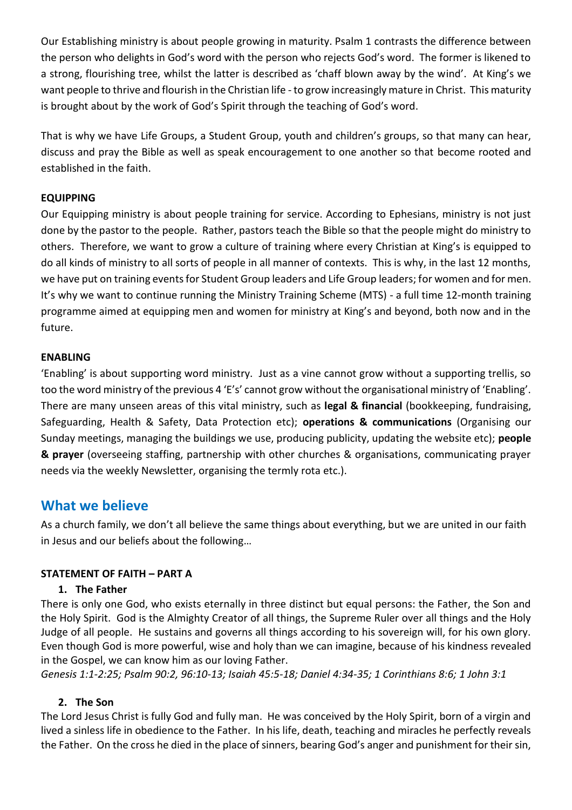Our Establishing ministry is about people growing in maturity. Psalm 1 contrasts the difference between the person who delights in God's word with the person who rejects God's word. The former is likened to a strong, flourishing tree, whilst the latter is described as 'chaff blown away by the wind'. At King's we want people to thrive and flourish in the Christian life - to grow increasingly mature in Christ. This maturity is brought about by the work of God's Spirit through the teaching of God's word.

That is why we have Life Groups, a Student Group, youth and children's groups, so that many can hear, discuss and pray the Bible as well as speak encouragement to one another so that become rooted and established in the faith.

#### **EQUIPPING**

Our Equipping ministry is about people training for service. According to Ephesians, ministry is not just done by the pastor to the people. Rather, pastors teach the Bible so that the people might do ministry to others. Therefore, we want to grow a culture of training where every Christian at King's is equipped to do all kinds of ministry to all sorts of people in all manner of contexts. This is why, in the last 12 months, we have put on training events for Student Group leaders and Life Group leaders; for women and for men. It's why we want to continue running the Ministry Training Scheme (MTS) - a full time 12-month training programme aimed at equipping men and women for ministry at King's and beyond, both now and in the future.

#### **ENABLING**

'Enabling' is about supporting word ministry. Just as a vine cannot grow without a supporting trellis, so too the word ministry of the previous 4 'E's' cannot grow without the organisational ministry of 'Enabling'. There are many unseen areas of this vital ministry, such as **legal & financial** (bookkeeping, fundraising, Safeguarding, Health & Safety, Data Protection etc); **operations & communications** (Organising our Sunday meetings, managing the buildings we use, producing publicity, updating the website etc); **people & prayer** (overseeing staffing, partnership with other churches & organisations, communicating prayer needs via the weekly Newsletter, organising the termly rota etc.).

# **What we believe**

As a church family, we don't all believe the same things about everything, but we are united in our faith in Jesus and our beliefs about the following…

#### **STATEMENT OF FAITH – PART A**

#### **1. The Father**

There is only one God, who exists eternally in three distinct but equal persons: the Father, the Son and the Holy Spirit. God is the Almighty Creator of all things, the Supreme Ruler over all things and the Holy Judge of all people. He sustains and governs all things according to his sovereign will, for his own glory. Even though God is more powerful, wise and holy than we can imagine, because of his kindness revealed in the Gospel, we can know him as our loving Father.

*[Genesis 1:1-2:25;](http://biblia.com/bible/tniv/Genesis%201.1-2.25) [Psalm 90:2,](http://biblia.com/bible/tniv/Psalm%2090.2) [96:10-13;](http://biblia.com/bible/tniv/Psalm%2096.10-13) [Isaiah 45:5-18;](http://biblia.com/bible/tniv/Isaiah%2045.5-18) [Daniel 4:34-35;](http://biblia.com/bible/tniv/Daniel%204.34-35) [1](http://biblia.com/bible/tniv/Titus%203.4-7) Corinthians 8:6; 1 John 3:1*

#### **2. The Son**

The Lord Jesus Christ is fully God and fully man. He was conceived by the Holy Spirit, born of a virgin and lived a sinless life in obedience to the Father. In his life, death, teaching and miracles he perfectly reveals the Father. On the cross he died in the place of sinners, bearing God's anger and punishment for their sin,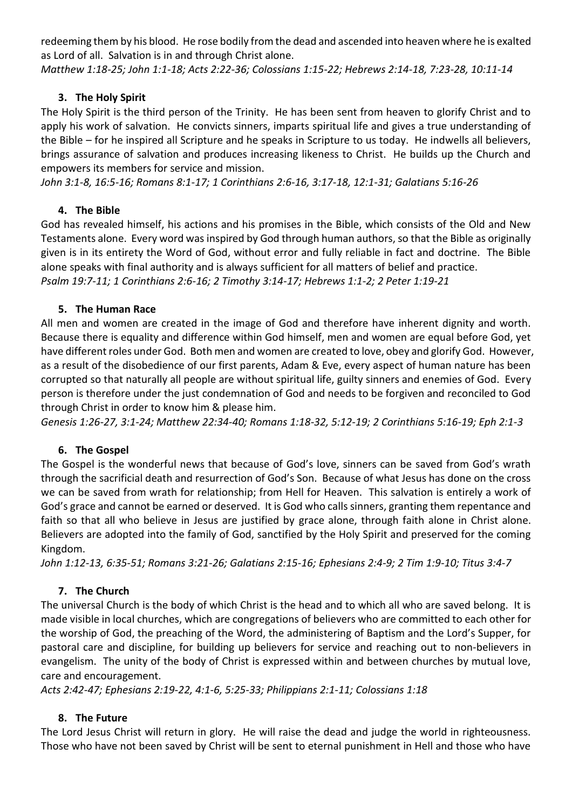redeeming them by his blood. He rose bodily from the dead and ascended into heaven where he is exalted as Lord of all. Salvation is in and through Christ alone.

*[Matthew 1:18-25;](http://biblia.com/bible/tniv/Matthew%201.18-25) [John 1:1-18;](http://biblia.com/bible/tniv/John%201.1-18) [Acts 2:22-36;](http://biblia.com/bible/tniv/Acts%202.22-36) [Colossians 1:15-22;](http://biblia.com/bible/tniv/Colossians%201.15-22) [Hebrews 2:14-18,](http://biblia.com/bible/tniv/Hebrews%202.14-18) [7:23-28,](http://biblia.com/bible/tniv/Hebrews%207.23-28) [10:11-14](http://biblia.com/bible/tniv/Hebrews%2010.11-14)*

## **3. The Holy Spirit**

The Holy Spirit is the third person of the Trinity. He has been sent from heaven to glorify Christ and to apply his work of salvation. He convicts sinners, imparts spiritual life and gives a true understanding of the Bible – for he inspired all Scripture and he speaks in Scripture to us today. He indwells all believers, brings assurance of salvation and produces increasing likeness to Christ. He builds up the Church and empowers its members for service and mission.

*[John 3:1-8,](http://biblia.com/bible/tniv/John%203.1-8) [16:5-16;](http://biblia.com/bible/tniv/John%2016.5-16) [Romans 8:1-17;](http://biblia.com/bible/tniv/Romans%208.1-17) [1 Corinthians 2:6-16,](http://biblia.com/bible/tniv/1%20Corinthians%202.6-16) [3:17-18,](http://biblia.com/bible/tniv/1%20Corinthians%203.17-18) [12:1-31;](http://biblia.com/bible/tniv/1%20Corinthians%2012.1-31) [Galatians 5:16-26](http://biblia.com/bible/tniv/Galatians%205.16-26)*

# **4. The Bible**

God has revealed himself, his actions and his promises in the Bible, which consists of the Old and New Testaments alone. Every word was inspired by God through human authors, so that the Bible as originally given is in its entirety the Word of God, without error and fully reliable in fact and doctrine. The Bible alone speaks with final authority and is always sufficient for all matters of belief and practice. *[Psalm 19:7-11;](http://biblia.com/bible/tniv/Psalm%2019.7-11) [1 Corinthians 2:6-16;](http://biblia.com/bible/tniv/1%20Corinthians%202.6-16) [2 Timothy 3:14-17;](http://biblia.com/bible/tniv/2%20Timothy%203.14-17) [Hebrews 1:1-2;](http://biblia.com/bible/tniv/Hebrews%201.1-2) [2 Peter 1:19-21](http://biblia.com/bible/tniv/2%20Peter%201.19-21)*

#### **5. The Human Race**

All men and women are created in the image of God and therefore have inherent dignity and worth. Because there is equality and difference within God himself, men and women are equal before God, yet have different roles under God. Both men and women are created to love, obey and glorify God. However, as a result of the disobedience of our first parents, Adam & Eve, every aspect of human nature has been corrupted so that naturally all people are without spiritual life, guilty sinners and enemies of God. Every person is therefore under the just condemnation of God and needs to be forgiven and reconciled to God through Christ in order to know him & please him.

*[Genesis 1:26-27,](http://biblia.com/bible/tniv/Genesis%201.26-27) [3:1-24;](http://biblia.com/bible/tniv/Genesis%203.1-24) [Matthew 22:34-40;](http://biblia.com/bible/tniv/Matthew%2022.34-40) [Romans 1:18-32,](http://biblia.com/bible/tniv/Romans%201.18-32) [5:12-19;](http://biblia.com/bible/tniv/Romans%205.12-19) [2 Corinthians 5:16-19;](http://biblia.com/bible/tniv/2%20Corinthians%205.16-19) [Eph 2:1-3](http://biblia.com/bible/tniv/Ephesians%202.1-3)*

# **6. The Gospel**

The Gospel is the wonderful news that because of God's love, sinners can be saved from God's wrath through the sacrificial death and resurrection of God's Son. Because of what Jesus has done on the cross we can be saved from wrath for relationship; from Hell for Heaven. This salvation is entirely a work of God's grace and cannot be earned or deserved. It is God who calls sinners, granting them repentance and faith so that all who believe in Jesus are justified by grace alone, through faith alone in Christ alone. Believers are adopted into the family of God, sanctified by the Holy Spirit and preserved for the coming Kingdom.

*[John 1:12-13,](http://biblia.com/bible/tniv/John%201.12-13) [6:35-51;](http://biblia.com/bible/tniv/John%206.35-51) [Romans 3:21-26;](http://biblia.com/bible/tniv/Romans%203.21-26) [Galatians 2:15-16;](http://biblia.com/bible/tniv/Galatians%202.15-16) [Ephesians 2:4-9;](http://biblia.com/bible/tniv/Ephesians%202.4-9) [2 Tim 1:9-10;](http://biblia.com/bible/tniv/2%20Timothy%201.9-10) [Titus 3:4-7](http://biblia.com/bible/tniv/Titus%203.4-7)*

# **7. The Church**

The universal Church is the body of which Christ is the head and to which all who are saved belong. It is made visible in local churches, which are congregations of believers who are committed to each other for the worship of God, the preaching of the Word, the administering of Baptism and the Lord's Supper, for pastoral care and discipline, for building up believers for service and reaching out to non-believers in evangelism. The unity of the body of Christ is expressed within and between churches by mutual love, care and encouragement.

*[Acts 2:42-47;](http://biblia.com/bible/tniv/Acts%202.42-47) [Ephesians 2:19-22,](http://biblia.com/bible/tniv/Ephesians%202.19-22) [4:1-6,](http://biblia.com/bible/tniv/Ephesians%204.1-6) [5:25-33;](http://biblia.com/bible/tniv/Ephesians%205.25-33) [Philippians 2:1-11;](http://biblia.com/bible/tniv/Philippians%202.1-11) [Colossians 1:18](http://biblia.com/bible/tniv/Colossians%201.18)*

# **8. The Future**

The Lord Jesus Christ will return in glory. He will raise the dead and judge the world in righteousness. Those who have not been saved by Christ will be sent to eternal punishment in Hell and those who have